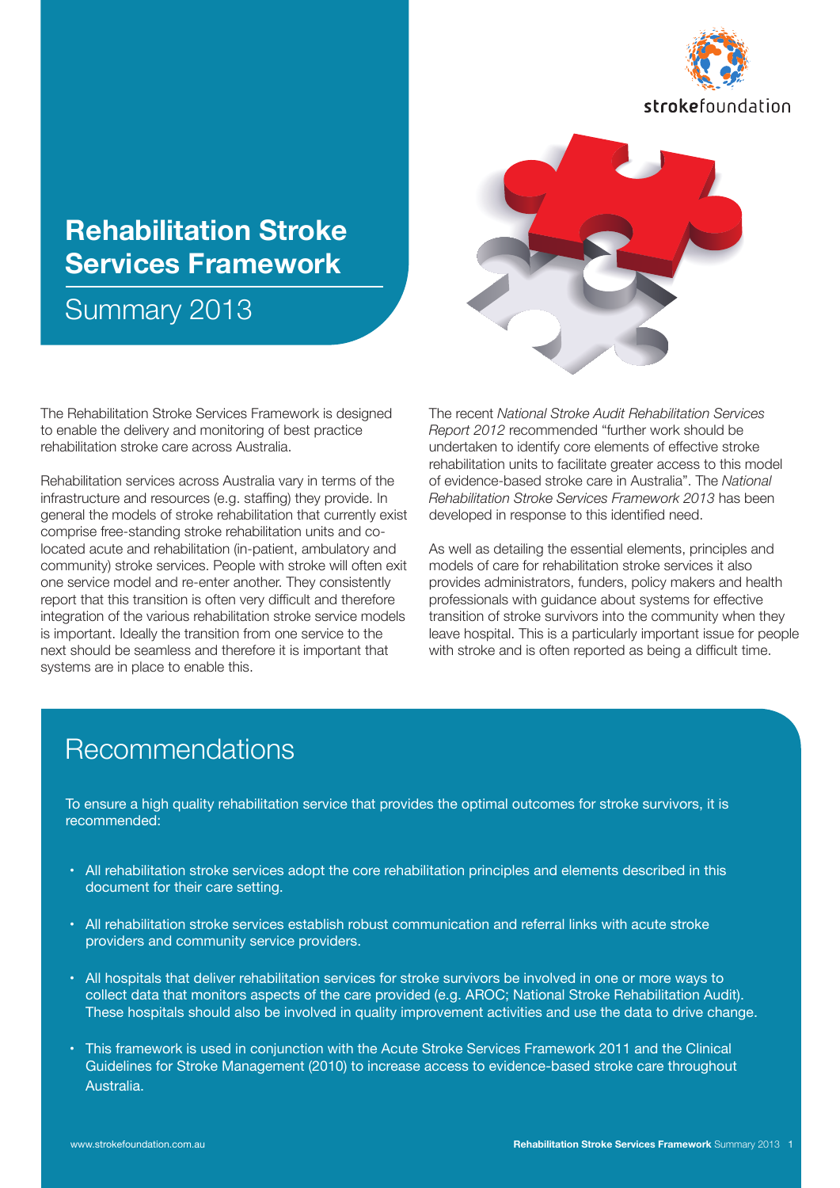

# **Rehabilitation Stroke Services Framework**

Summary 2013



Rehabilitation services across Australia vary in terms of the infrastructure and resources (e.g. staffing) they provide. In general the models of stroke rehabilitation that currently exist comprise free-standing stroke rehabilitation units and colocated acute and rehabilitation (in-patient, ambulatory and community) stroke services. People with stroke will often exit one service model and re-enter another. They consistently report that this transition is often very difficult and therefore integration of the various rehabilitation stroke service models is important. Ideally the transition from one service to the next should be seamless and therefore it is important that systems are in place to enable this.

The recent *National Stroke Audit Rehabilitation Services Report 2012* recommended "further work should be undertaken to identify core elements of effective stroke rehabilitation units to facilitate greater access to this model of evidence-based stroke care in Australia". The *National Rehabilitation Stroke Services Framework 2013* has been developed in response to this identified need.

As well as detailing the essential elements, principles and models of care for rehabilitation stroke services it also provides administrators, funders, policy makers and health professionals with guidance about systems for effective transition of stroke survivors into the community when they leave hospital. This is a particularly important issue for people with stroke and is often reported as being a difficult time.

### Recommendations

To ensure a high quality rehabilitation service that provides the optimal outcomes for stroke survivors, it is recommended:

- All rehabilitation stroke services adopt the core rehabilitation principles and elements described in this document for their care setting.
- All rehabilitation stroke services establish robust communication and referral links with acute stroke providers and community service providers.
- All hospitals that deliver rehabilitation services for stroke survivors be involved in one or more ways to collect data that monitors aspects of the care provided (e.g. AROC; National Stroke Rehabilitation Audit). These hospitals should also be involved in quality improvement activities and use the data to drive change.
- • This framework is used in conjunction with the Acute Stroke Services Framework 2011 and the Clinical Guidelines for Stroke Management (2010) to increase access to evidence-based stroke care throughout Australia.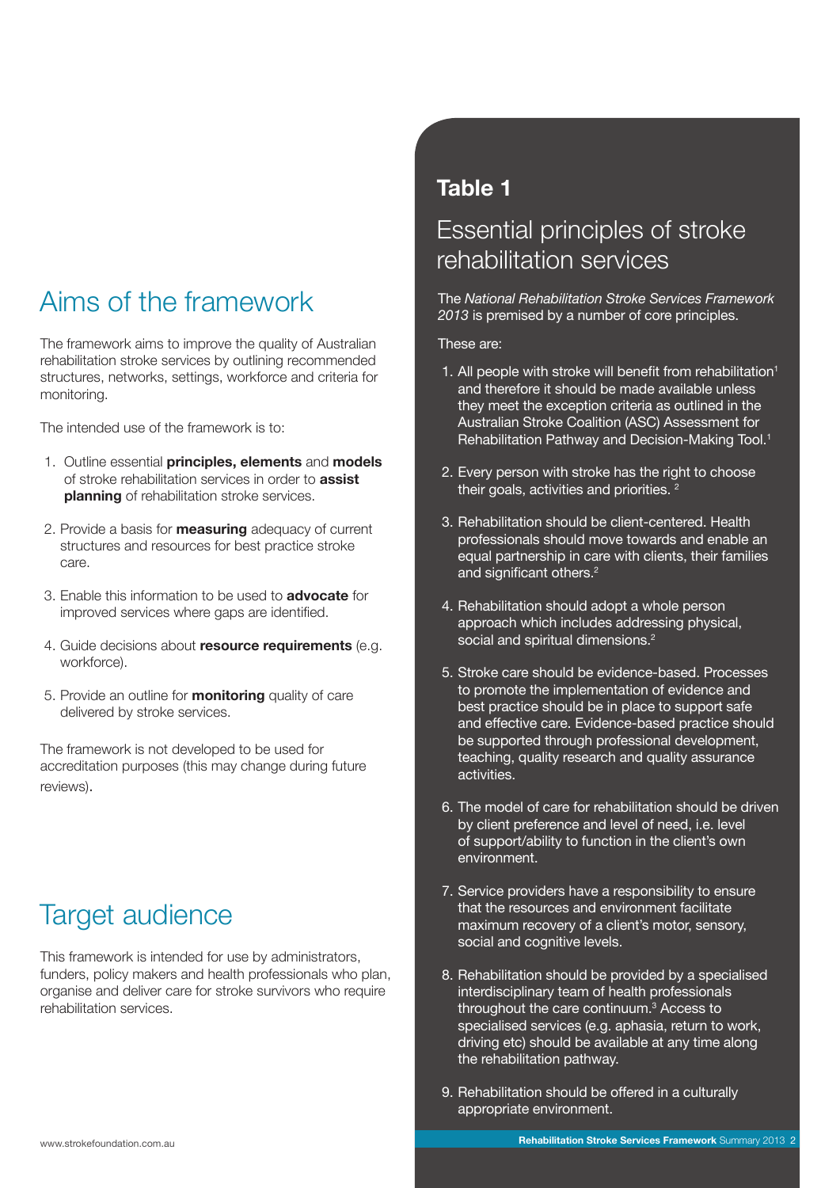# Aims of the framework

The framework aims to improve the quality of Australian rehabilitation stroke services by outlining recommended structures, networks, settings, workforce and criteria for monitoring.

The intended use of the framework is to:

- 1. Outline essential **principles, elements** and **models** of stroke rehabilitation services in order to **assist planning** of rehabilitation stroke services.
- 2. Provide a basis for **measuring** adequacy of current structures and resources for best practice stroke care.
- 3. Enable this information to be used to **advocate** for improved services where gaps are identified.
- 4. Guide decisions about **resource requirements** (e.g. workforce).
- 5. Provide an outline for **monitoring** quality of care delivered by stroke services.

The framework is not developed to be used for accreditation purposes (this may change during future reviews).

### Target audience

This framework is intended for use by administrators, funders, policy makers and health professionals who plan, organise and deliver care for stroke survivors who require rehabilitation services.

### **Table 1**

### Essential principles of stroke rehabilitation services

The *National Rehabilitation Stroke Services Framework 2013* is premised by a number of core principles.

#### These are:

- 1. All people with stroke will benefit from rehabilitation<sup>1</sup> and therefore it should be made available unless they meet the exception criteria as outlined in the Australian Stroke Coalition (ASC) Assessment for Rehabilitation Pathway and Decision-Making Tool.<sup>1</sup>
- 2. Every person with stroke has the right to choose their goals, activities and priorities.  $2^{\frac{1}{2}}$
- 3. Rehabilitation should be client-centered. Health professionals should move towards and enable an equal partnership in care with clients, their families and significant others.<sup>2</sup>
- 4. Rehabilitation should adopt a whole person approach which includes addressing physical, social and spiritual dimensions.<sup>2</sup>
- 5. Stroke care should be evidence-based. Processes to promote the implementation of evidence and best practice should be in place to support safe and effective care. Evidence-based practice should be supported through professional development, teaching, quality research and quality assurance activities.
- 6. The model of care for rehabilitation should be driven by client preference and level of need, i.e. level of support/ability to function in the client's own environment.
- 7. Service providers have a responsibility to ensure that the resources and environment facilitate maximum recovery of a client's motor, sensory, social and cognitive levels.
- 8. Rehabilitation should be provided by a specialised interdisciplinary team of health professionals throughout the care continuum.3 Access to specialised services (e.g. aphasia, return to work, driving etc) should be available at any time along the rehabilitation pathway.
- 9. Rehabilitation should be offered in a culturally appropriate environment.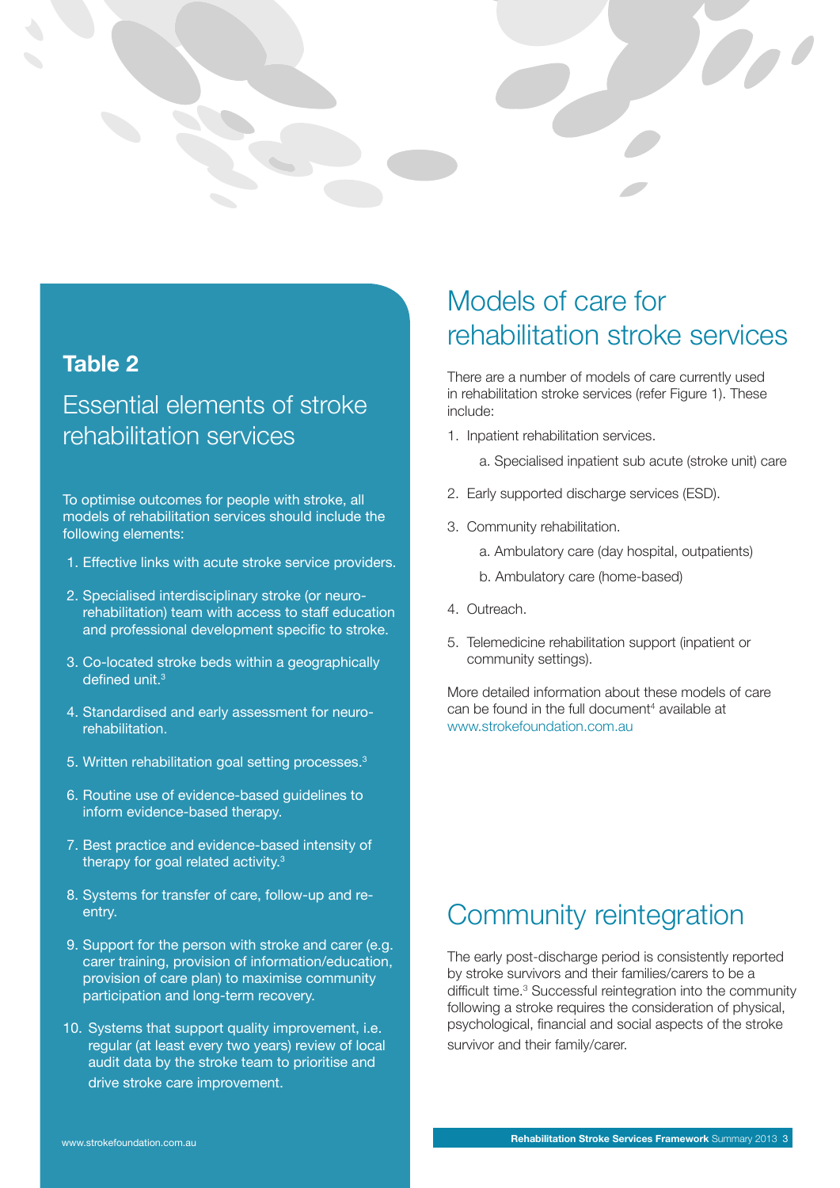

### **Table 2**

### Essential elements of stroke rehabilitation services

To optimise outcomes for people with stroke, all models of rehabilitation services should include the following elements:

- 1. Effective links with acute stroke service providers.
- 2. Specialised interdisciplinary stroke (or neurorehabilitation) team with access to staff education and professional development specific to stroke.
- 3. Co-located stroke beds within a geographically defined unit.<sup>3</sup>
- 4. Standardised and early assessment for neurorehabilitation.
- 5. Written rehabilitation goal setting processes.<sup>3</sup>
- 6. Routine use of evidence-based guidelines to inform evidence-based therapy.
- 7. Best practice and evidence-based intensity of therapy for goal related activity.3
- 8. Systems for transfer of care, follow-up and reentry.
- 9. Support for the person with stroke and carer (e.g. carer training, provision of information/education, provision of care plan) to maximise community participation and long-term recovery.
- 10. Systems that support quality improvement, i.e. regular (at least every two years) review of local audit data by the stroke team to prioritise and drive stroke care improvement.

### Models of care for rehabilitation stroke services

There are a number of models of care currently used in rehabilitation stroke services (refer Figure 1). These include:

- 1. Inpatient rehabilitation services.
	- a. Specialised inpatient sub acute (stroke unit) care
- 2. Early supported discharge services (ESD).
- 3. Community rehabilitation.
	- a. Ambulatory care (day hospital, outpatients)
	- b. Ambulatory care (home-based)
- 4. Outreach.
- 5. Telemedicine rehabilitation support (inpatient or community settings).

More detailed information about these models of care can be found in the full document<sup>4</sup> available at www.strokefoundation.com.au

### Community reintegration

The early post-discharge period is consistently reported by stroke survivors and their families/carers to be a difficult time.<sup>3</sup> Successful reintegration into the community following a stroke requires the consideration of physical, psychological, financial and social aspects of the stroke survivor and their family/carer.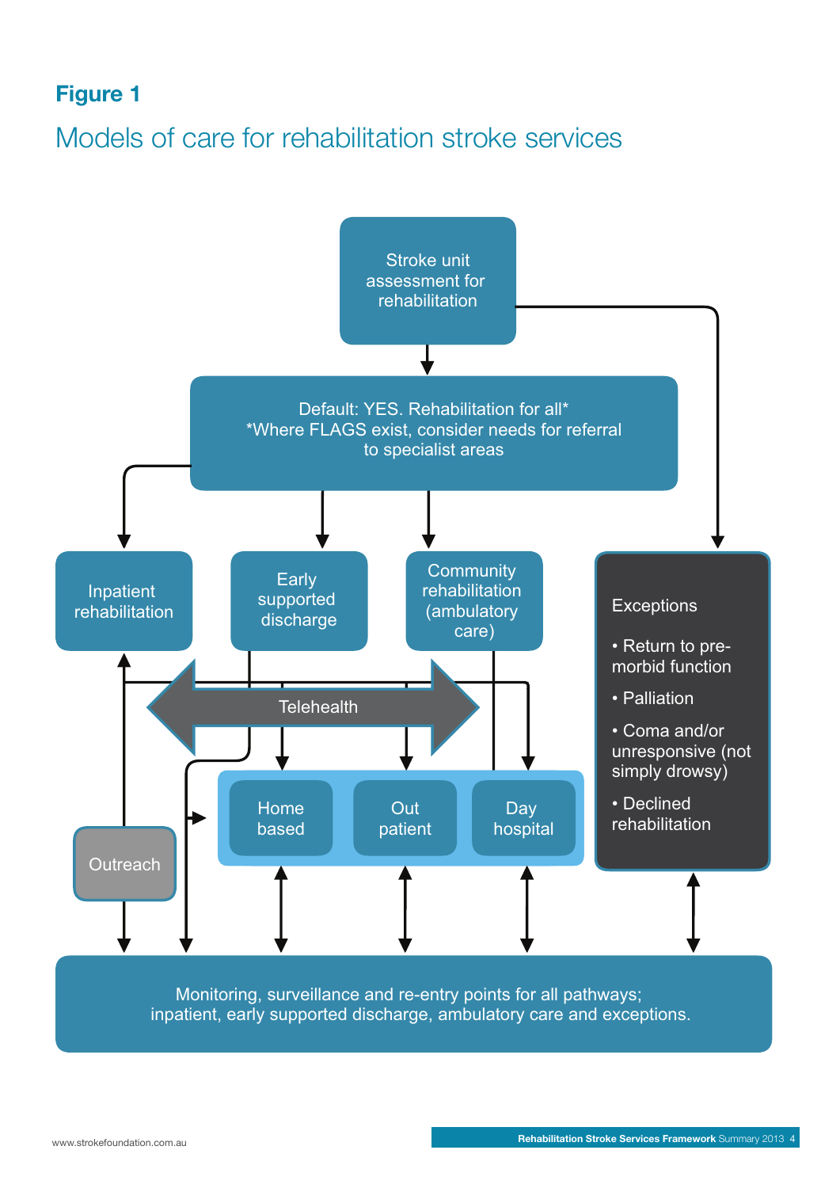### **Figure 1**

# Models of care for rehabilitation stroke services

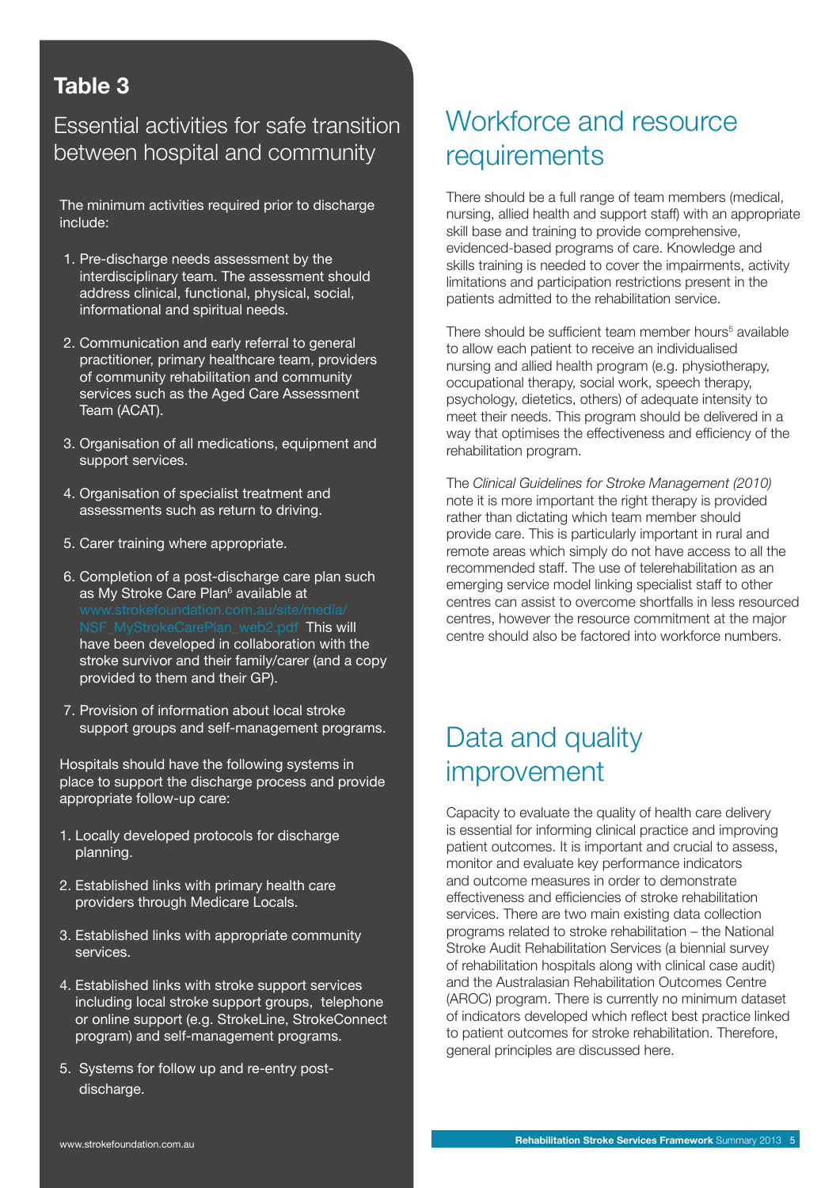### **Table 3**

### Essential activities for safe transition between hospital and community

The minimum activities required prior to discharge include:

- 1. Pre-discharge needs assessment by the interdisciplinary team. The assessment should address clinical, functional, physical, social, informational and spiritual needs.
- 2. Communication and early referral to general practitioner, primary healthcare team, providers of community rehabilitation and community services such as the Aged Care Assessment Team (ACAT).
- 3. Organisation of all medications, equipment and support services.
- 4. Organisation of specialist treatment and assessments such as return to driving.
- 5. Carer training where appropriate.
- 6. Completion of a post-discharge care plan such as My Stroke Care Plan<sup>6</sup> available at This will have been developed in collaboration with the stroke survivor and their family/carer (and a copy provided to them and their GP).
- 7. Provision of information about local stroke support groups and self-management programs.

Hospitals should have the following systems in place to support the discharge process and provide appropriate follow-up care:

- 1. Locally developed protocols for discharge planning.
- 2. Established links with primary health care providers through Medicare Locals.
- 3. Established links with appropriate community services.
- 4. Established links with stroke support services including local stroke support groups, telephone or online support (e.g. StrokeLine, StrokeConnect program) and self-management programs.
- 5. Systems for follow up and re-entry postdischarge.

### Workforce and resource requirements

There should be a full range of team members (medical, nursing, allied health and support staff) with an appropriate skill base and training to provide comprehensive, evidenced-based programs of care. Knowledge and skills training is needed to cover the impairments, activity limitations and participation restrictions present in the patients admitted to the rehabilitation service.

There should be sufficient team member hours<sup>5</sup> available to allow each patient to receive an individualised nursing and allied health program (e.g. physiotherapy, occupational therapy, social work, speech therapy, psychology, dietetics, others) of adequate intensity to meet their needs. This program should be delivered in a way that optimises the effectiveness and efficiency of the rehabilitation program.

The *Clinical Guidelines for Stroke Management (2010)* note it is more important the right therapy is provided rather than dictating which team member should provide care. This is particularly important in rural and remote areas which simply do not have access to all the recommended staff. The use of telerehabilitation as an emerging service model linking specialist staff to other centres can assist to overcome shortfalls in less resourced centres, however the resource commitment at the major centre should also be factored into workforce numbers.

### Data and quality improvement

Capacity to evaluate the quality of health care delivery is essential for informing clinical practice and improving patient outcomes. It is important and crucial to assess, monitor and evaluate key performance indicators and outcome measures in order to demonstrate effectiveness and efficiencies of stroke rehabilitation services. There are two main existing data collection programs related to stroke rehabilitation – the National Stroke Audit Rehabilitation Services (a biennial survey of rehabilitation hospitals along with clinical case audit) and the Australasian Rehabilitation Outcomes Centre (AROC) program. There is currently no minimum dataset of indicators developed which reflect best practice linked to patient outcomes for stroke rehabilitation. Therefore, general principles are discussed here.